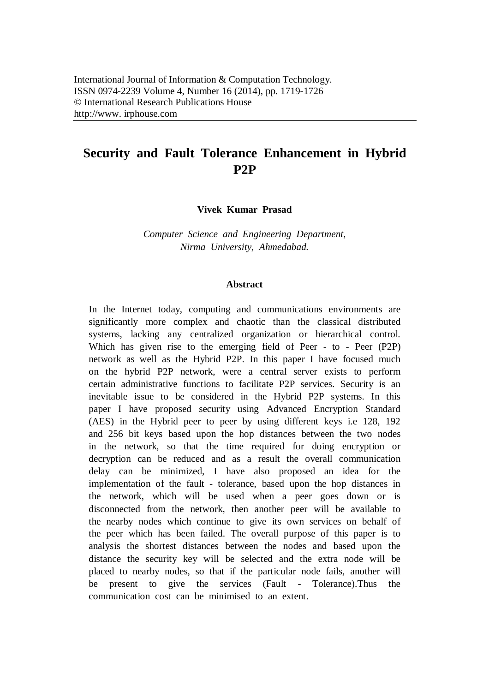# **Security and Fault Tolerance Enhancement in Hybrid P2P**

**Vivek Kumar Prasad**

*Computer Science and Engineering Department, Nirma University, Ahmedabad.*

#### **Abstract**

In the Internet today, computing and communications environments are significantly more complex and chaotic than the classical distributed systems, lacking any centralized organization or hierarchical control. Which has given rise to the emerging field of Peer - to - Peer (P2P) network as well as the Hybrid P2P. In this paper I have focused much on the hybrid P2P network, were a central server exists to perform certain administrative functions to facilitate P2P services. Security is an inevitable issue to be considered in the Hybrid P2P systems. In this paper I have proposed security using Advanced Encryption Standard (AES) in the Hybrid peer to peer by using different keys i.e 128, 192 and 256 bit keys based upon the hop distances between the two nodes in the network, so that the time required for doing encryption or decryption can be reduced and as a result the overall communication delay can be minimized, I have also proposed an idea for the implementation of the fault - tolerance, based upon the hop distances in the network, which will be used when a peer goes down or is disconnected from the network, then another peer will be available to the nearby nodes which continue to give its own services on behalf of the peer which has been failed. The overall purpose of this paper is to analysis the shortest distances between the nodes and based upon the distance the security key will be selected and the extra node will be placed to nearby nodes, so that if the particular node fails, another will be present to give the services (Fault - Tolerance).Thus the communication cost can be minimised to an extent.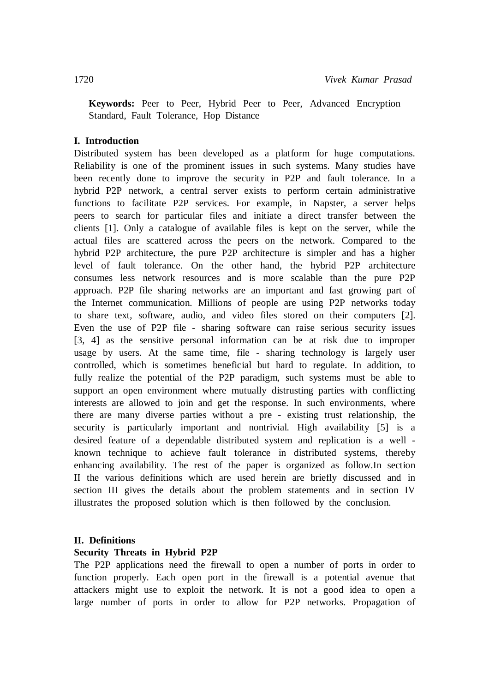**Keywords:** Peer to Peer, Hybrid Peer to Peer, Advanced Encryption Standard, Fault Tolerance, Hop Distance

### **I. Introduction**

Distributed system has been developed as a platform for huge computations. Reliability is one of the prominent issues in such systems. Many studies have been recently done to improve the security in P2P and fault tolerance. In a hybrid P2P network, a central server exists to perform certain administrative functions to facilitate P2P services. For example, in Napster, a server helps peers to search for particular files and initiate a direct transfer between the clients[1]. Only a catalogue of available files is kept on the server, while the actual files are scattered across the peers on the network. Compared to the hybrid P2P architecture, the pure P2P architecture is simpler and has a higher level of fault tolerance. On the other hand, the hybrid P2P architecture consumes less network resources and is more scalable than the pure P2P approach. P2P file sharing networks are an important and fast growing part of the Internet communication. Millions of people are using P2P networks today to share text, software, audio, and video files stored on their computers [2]. Even the use of P2P file - sharing software can raise serious security issues [3, 4] as the sensitive personal information can be at risk due to improper usage by users. At the same time, file - sharing technology is largely user controlled, which is sometimes beneficial but hard to regulate. In addition, to fully realize the potential of the P2P paradigm, such systems must be able to support an open environment where mutually distrusting parties with conflicting interests are allowed to join and get the response. In such environments, where there are many diverse parties without a pre - existing trust relationship, the security is particularly important and nontrivial. High availability [5] is a desired feature of a dependable distributed system and replication is a well known technique to achieve fault tolerance in distributed systems, thereby enhancing availability. The rest of the paper is organized as follow.In section II the various definitions which are used herein are briefly discussed and in section III gives the details about the problem statements and in section IV illustrates the proposed solution which is then followed by the conclusion.

#### **II. Definitions**

# **Security Threats in Hybrid P2P**

The P2P applications need the firewall to open a number of ports in order to function properly. Each open port in the firewall is a potential avenue that attackers might use to exploit the network. It is not a good idea to open a large number of ports in order to allow for P2P networks. Propagation of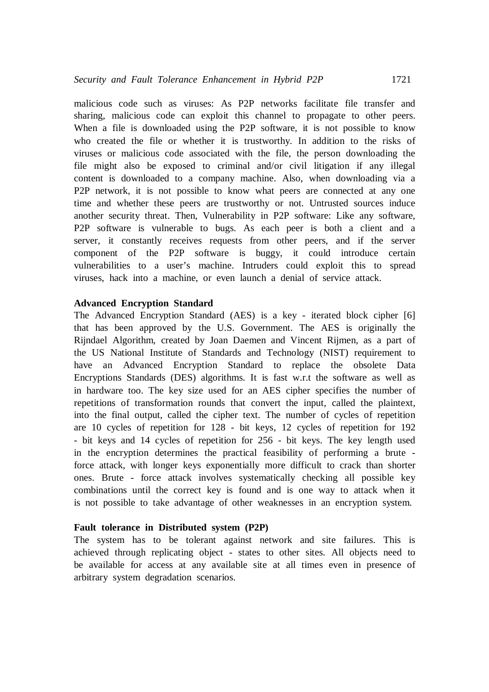malicious code such as viruses: As P2P networks facilitate file transfer and sharing, malicious code can exploit this channel to propagate to other peers. When a file is downloaded using the P2P software, it is not possible to know who created the file or whether it is trustworthy. In addition to the risks of viruses or malicious code associated with the file, the person downloading the file might also be exposed to criminal and/or civil litigation if any illegal content is downloaded to a company machine. Also, when downloading via a P2P network, it is not possible to know what peers are connected at any one time and whether these peers are trustworthy or not. Untrusted sources induce another security threat. Then, Vulnerability in P2P software: Like any software, P2P software is vulnerable to bugs. As each peer is both a client and a server, it constantly receives requests from other peers, and if the server component of the P2P software is buggy, it could introduce certain vulnerabilities to a user's machine. Intruders could exploit this to spread viruses, hack into a machine, or even launch a denial of service attack.

# **Advanced Encryption Standard**

The Advanced Encryption Standard (AES) is a key - iterated block cipher [6] that has been approved by the U.S. Government. The AES is originally the Rijndael Algorithm, created by Joan Daemen and Vincent Rijmen, as a part of the US National Institute of Standards and Technology (NIST) requirement to have an Advanced Encryption Standard to replace the obsolete Data Encryptions Standards (DES) algorithms. It is fast w.r.t the software as well as in hardware too. The key size used for an AES cipher specifies the number of repetitions of transformation rounds that convert the input, called the plaintext, into the final output, called the cipher text. The number of cycles of repetition are 10 cycles of repetition for 128 - bit keys, 12 cycles of repetition for 192 - bit keys and 14 cycles of repetition for 256 - bit keys. The key length used in the encryption determines the practical feasibility of performing a brute force attack, with longer keys exponentially more difficult to crack than shorter ones. Brute - force attack involves systematically checking all possible key combinations until the correct key is found and is one way to attack when it is not possible to take advantage of other weaknesses in an encryption system.

#### **Fault tolerance in Distributed system (P2P)**

The system has to be tolerant against network and site failures. This is achieved through replicating object - states to other sites. All objects need to be available for access at any available site at all times even in presence of arbitrary system degradation scenarios.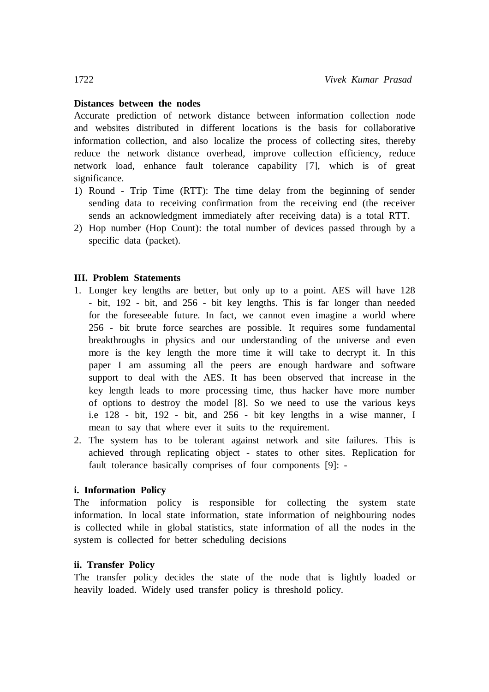# **Distances between the nodes**

Accurate prediction of network distance between information collection node and websites distributed in different locations is the basis for collaborative information collection, and also localize the process of collecting sites, thereby reduce the network distance overhead, improve collection efficiency, reduce network load, enhance fault tolerance capability [7], which is of great significance.

- 1) Round Trip Time (RTT): The time delay from the beginning of sender sending data to receiving confirmation from the receiving end (the receiver sends an acknowledgment immediately after receiving data) is a total RTT.
- 2) Hop number (Hop Count): the total number of devices passed through by a specific data (packet).

# **III. Problem Statements**

- 1. Longer key lengths are better, but only up to a point. AES will have 128 - bit, 192 - bit, and 256 - bit key lengths. This is far longer than needed for the foreseeable future. In fact, we cannot even imagine a world where 256 - bit brute force searches are possible. It requires some fundamental breakthroughs in physics and our understanding of the universe and even more is the key length the more time it will take to decrypt it. In this paper I am assuming all the peers are enough hardware and software support to deal with the AES. It has been observed that increase in the key length leads to more processing time, thus hacker have more number of options to destroy the model [8]. So we need to use the various keys i.e 128 - bit, 192 - bit, and 256 - bit key lengths in a wise manner, I mean to say that where ever it suits to the requirement.
- 2. The system has to be tolerant against network and site failures. This is achieved through replicating object - states to other sites. Replication for fault tolerance basically comprises of four components [9]: -

# **i. Information Policy**

The information policy is responsible for collecting the system state information. In local state information, state information of neighbouring nodes is collected while in global statistics, state information of all the nodes in the system is collected for better scheduling decisions

# **ii. Transfer Policy**

The transfer policy decides the state of the node that is lightly loaded or heavily loaded. Widely used transfer policy is threshold policy.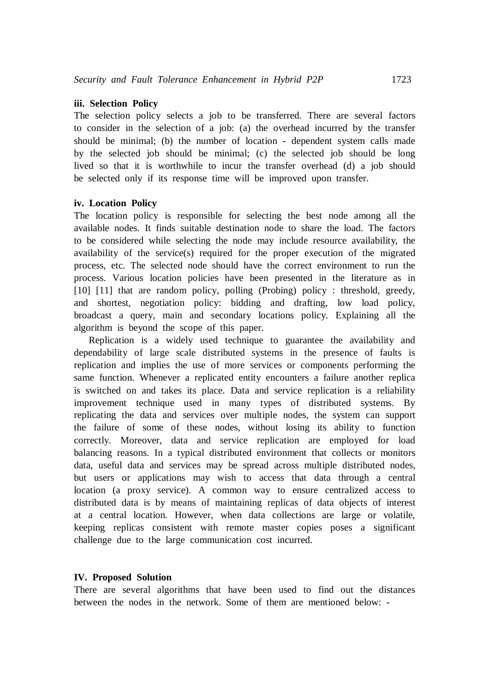#### **iii. Selection Policy**

The selection policy selects a job to be transferred. There are several factors to consider in the selection of a job: (a) the overhead incurred by the transfer should be minimal; (b) the number of location - dependent system calls made by the selected job should be minimal; (c) the selected job should be long lived so that it is worthwhile to incur the transfer overhead (d) a job should be selected only if its response time will be improved upon transfer.

#### **iv. Location Policy**

The location policy is responsible for selecting the best node among all the available nodes. It finds suitable destination node to share the load. The factors to be considered while selecting the node may include resource availability, the availability of the service(s) required for the proper execution of the migrated process, etc. The selected node should have the correct environment to run the process. Various location policies have been presented in the literature as in [10] [11] that are random policy, polling (Probing) policy : threshold, greedy, and shortest, negotiation policy: bidding and drafting, low load policy, broadcast a query, main and secondary locations policy. Explaining all the algorithm is beyond the scope of this paper.

Replication is a widely used technique to guarantee the availability and dependability of large scale distributed systems in the presence of faults is replication and implies the use of more services or components performing the same function. Whenever a replicated entity encounters a failure another replica is switched on and takes its place. Data and service replication is a reliability improvement technique used in many types of distributed systems. By replicating the data and services over multiple nodes, the system can support the failure of some of these nodes, without losing its ability to function correctly. Moreover, data and service replication are employed for load balancing reasons. In a typical distributed environment that collects or monitors data, useful data and services may be spread across multiple distributed nodes, but users or applications may wish to access that data through a central location (a proxy service). A common way to ensure centralized access to distributed data is by means of maintaining replicas of data objects of interest at a central location. However, when data collections are large or volatile, keeping replicas consistent with remote master copies poses a significant challenge due to the large communication cost incurred.

#### **IV. Proposed Solution**

There are several algorithms that have been used to find out the distances between the nodes in the network. Some of them are mentioned below: -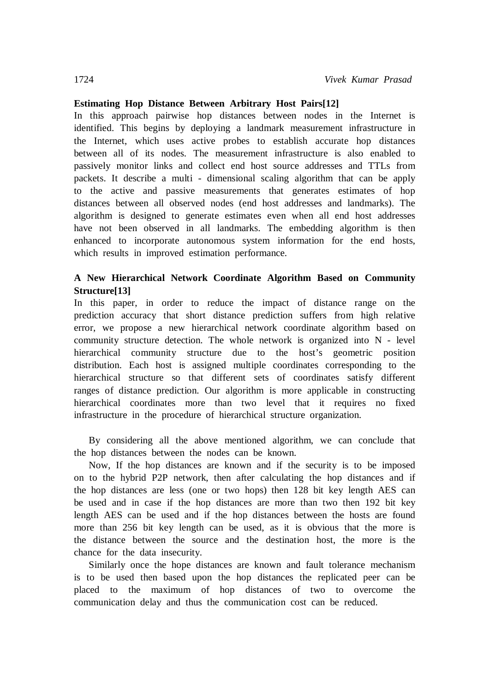### **Estimating Hop Distance Between Arbitrary Host Pairs[12]**

In this approach pairwise hop distances between nodes in the Internet is identified. This begins by deploying a landmark measurement infrastructure in the Internet, which uses active probes to establish accurate hop distances between all of its nodes. The measurement infrastructure is also enabled to passively monitor links and collect end host source addresses and TTLs from packets. It describe a multi - dimensional scaling algorithm that can be apply to the active and passive measurements that generates estimates of hop distances between all observed nodes (end host addresses and landmarks). The algorithm is designed to generate estimates even when all end host addresses have not been observed in all landmarks. The embedding algorithm is then enhanced to incorporate autonomous system information for the end hosts, which results in improved estimation performance.

# **A New Hierarchical Network Coordinate Algorithm Based on Community Structure[13]**

In this paper, in order to reduce the impact of distance range on the prediction accuracy that short distance prediction suffers from high relative error, we propose a new hierarchical network coordinate algorithm based on community structure detection. The whole network is organized into N - level hierarchical community structure due to the host's geometric position distribution. Each host is assigned multiple coordinates corresponding to the hierarchical structure so that different sets of coordinates satisfy different ranges of distance prediction. Our algorithm is more applicable in constructing hierarchical coordinates more than two level that it requires no fixed infrastructure in the procedure of hierarchical structure organization.

By considering all the above mentioned algorithm, we can conclude that the hop distances between the nodes can be known.

Now, If the hop distances are known and if the security is to be imposed on to the hybrid P2P network, then after calculating the hop distances and if the hop distances are less (one or two hops) then 128 bit key length AES can be used and in case if the hop distances are more than two then 192 bit key length AES can be used and if the hop distances between the hosts are found more than 256 bit key length can be used, as it is obvious that the more is the distance between the source and the destination host, the more is the chance for the data insecurity.

Similarly once the hope distances are known and fault tolerance mechanism is to be used then based upon the hop distances the replicated peer can be placed to the maximum of hop distances of two to overcome the communication delay and thus the communication cost can be reduced.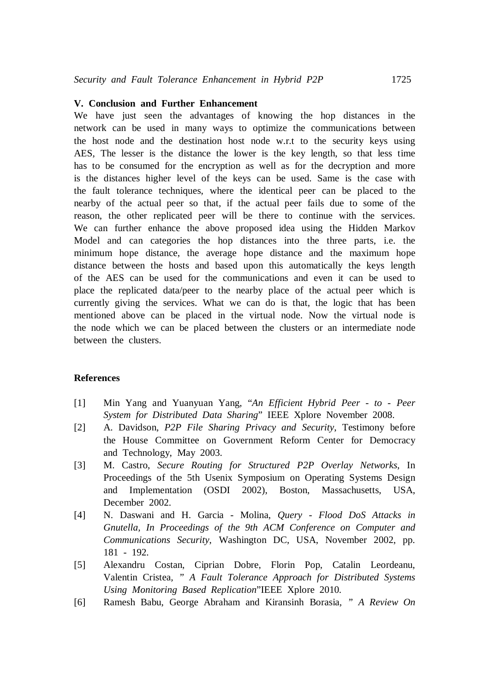#### **V. Conclusion and Further Enhancement**

We have just seen the advantages of knowing the hop distances in the network can be used in many ways to optimize the communications between the host node and the destination host node w.r.t to the security keys using AES, The lesser is the distance the lower is the key length, so that less time has to be consumed for the encryption as well as for the decryption and more is the distances higher level of the keys can be used. Same is the case with the fault tolerance techniques, where the identical peer can be placed to the nearby of the actual peer so that, if the actual peer fails due to some of the reason, the other replicated peer will be there to continue with the services. We can further enhance the above proposed idea using the Hidden Markov Model and can categories the hop distances into the three parts, i.e. the minimum hope distance, the average hope distance and the maximum hope distance between the hosts and based upon this automatically the keys length of the AES can be used for the communications and even it can be used to place the replicated data/peer to the nearby place of the actual peer which is currently giving the services. What we can do is that, the logic that has been mentioned above can be placed in the virtual node. Now the virtual node is the node which we can be placed between the clusters or an intermediate node between the clusters.

#### **References**

- [1] Min Yang and Yuanyuan Yang, "*An Efficient Hybrid Peer to Peer System for Distributed Data Sharing*" IEEE Xplore November 2008.
- [2] A. Davidson, *P2P File Sharing Privacy and Security*, Testimony before the House Committee on Government Reform Center for Democracy and Technology, May 2003.
- [3] M. Castro, *Secure Routing for Structured P2P Overlay Networks*, In Proceedings of the 5th Usenix Symposium on Operating Systems Design and Implementation (OSDI 2002), Boston, Massachusetts, USA, December 2002.
- [4] N. Daswani and H. Garcia Molina, *Query Flood DoS Attacks in Gnutella, In Proceedings of the 9th ACM Conference on Computer and Communications Security*, Washington DC, USA, November 2002, pp. 181 - 192.
- [5] Alexandru Costan, Ciprian Dobre, Florin Pop, Catalin Leordeanu, Valentin Cristea*, " A Fault Tolerance Approach for Distributed Systems Using Monitoring Based Replication*"IEEE Xplore 2010.
- [6] Ramesh Babu, George Abraham and Kiransinh Borasia*, " A Review On*